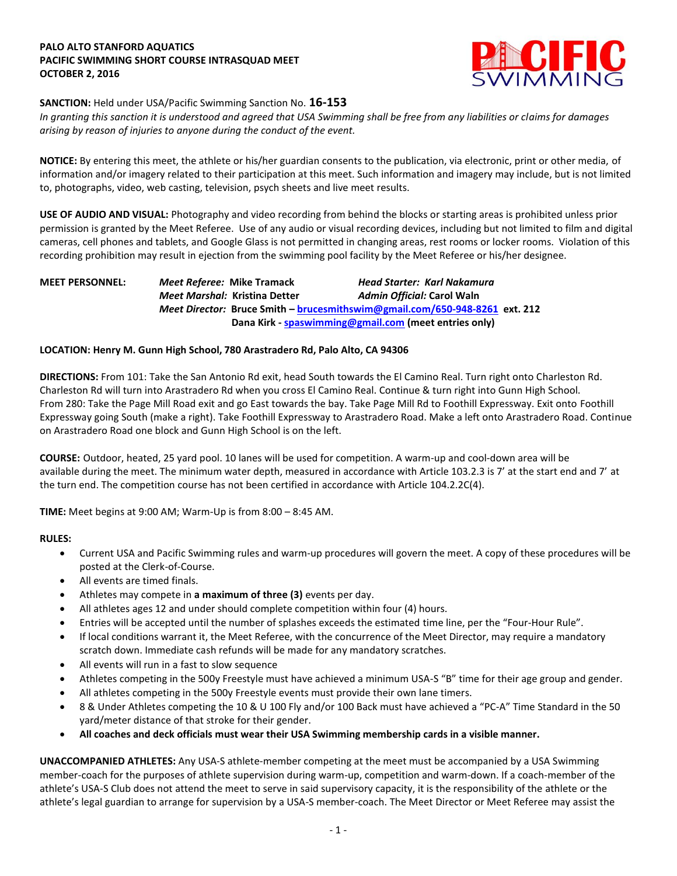## **PALO ALTO STANFORD AQUATICS PACIFIC SWIMMING SHORT COURSE INTRASQUAD MEET OCTOBER 2, 2016**



# **SANCTION:** Held under USA/Pacific Swimming Sanction No. **16-153**

*In granting this sanction it is understood and agreed that USA Swimming shall be free from any liabilities or claims for damages arising by reason of injuries to anyone during the conduct of the event.*

**NOTICE:** By entering this meet, the athlete or his/her guardian consents to the publication, via electronic, print or other media, of information and/or imagery related to their participation at this meet. Such information and imagery may include, but is not limited to, photographs, video, web casting, television, psych sheets and live meet results.

**USE OF AUDIO AND VISUAL:** Photography and video recording from behind the blocks or starting areas is prohibited unless prior permission is granted by the Meet Referee. Use of any audio or visual recording devices, including but not limited to film and digital cameras, cell phones and tablets, and Google Glass is not permitted in changing areas, rest rooms or locker rooms. Violation of this recording prohibition may result in ejection from the swimming pool facility by the Meet Referee or his/her designee.

**MEET PERSONNEL:** *Meet Referee:* **Mike Tramack** *Head Starter: Karl Nakamura Meet Marshal:* **Kristina Detter** *Admin Official:* **Carol Waln** *Meet Director:* **Bruce Smith – [brucesmithswim@gmail.com/650-948-8261](mailto:brucesmithswim@gmail.com/650-948-8261) ext. 212 Dana Kirk - [spaswimming@gmail.com](mailto:spaswimming@gmail.com) (meet entries only)**

## **LOCATION: Henry M. Gunn High School, 780 Arastradero Rd, Palo Alto, CA 94306**

**DIRECTIONS:** From 101: Take the San Antonio Rd exit, head South towards the El Camino Real. Turn right onto Charleston Rd. Charleston Rd will turn into Arastradero Rd when you cross El Camino Real. Continue & turn right into Gunn High School. From 280: Take the Page Mill Road exit and go East towards the bay. Take Page Mill Rd to Foothill Expressway. Exit onto Foothill Expressway going South (make a right). Take Foothill Expressway to Arastradero Road. Make a left onto Arastradero Road. Continue on Arastradero Road one block and Gunn High School is on the left.

**COURSE:** Outdoor, heated, 25 yard pool. 10 lanes will be used for competition. A warm-up and cool-down area will be available during the meet. The minimum water depth, measured in accordance with Article 103.2.3 is 7' at the start end and 7' at the turn end. The competition course has not been certified in accordance with Article 104.2.2C(4).

**TIME:** Meet begins at 9:00 AM; Warm-Up is from 8:00 – 8:45 AM.

## **RULES:**

- Current USA and Pacific Swimming rules and warm-up procedures will govern the meet. A copy of these procedures will be posted at the Clerk-of-Course.
- All events are timed finals.
- Athletes may compete in **a maximum of three (3)** events per day.
- All athletes ages 12 and under should complete competition within four (4) hours.
- Entries will be accepted until the number of splashes exceeds the estimated time line, per the "Four-Hour Rule".
- If local conditions warrant it, the Meet Referee, with the concurrence of the Meet Director, may require a mandatory scratch down. Immediate cash refunds will be made for any mandatory scratches.
- All events will run in a fast to slow sequence
- Athletes competing in the 500y Freestyle must have achieved a minimum USA-S "B" time for their age group and gender.
- All athletes competing in the 500y Freestyle events must provide their own lane timers.
- 8 & Under Athletes competing the 10 & U 100 Fly and/or 100 Back must have achieved a "PC-A" Time Standard in the 50 yard/meter distance of that stroke for their gender.
- **All coaches and deck officials must wear their USA Swimming membership cards in a visible manner.**

**UNACCOMPANIED ATHLETES:** Any USA-S athlete-member competing at the meet must be accompanied by a USA Swimming member-coach for the purposes of athlete supervision during warm-up, competition and warm-down. If a coach-member of the athlete's USA-S Club does not attend the meet to serve in said supervisory capacity, it is the responsibility of the athlete or the athlete's legal guardian to arrange for supervision by a USA-S member-coach. The Meet Director or Meet Referee may assist the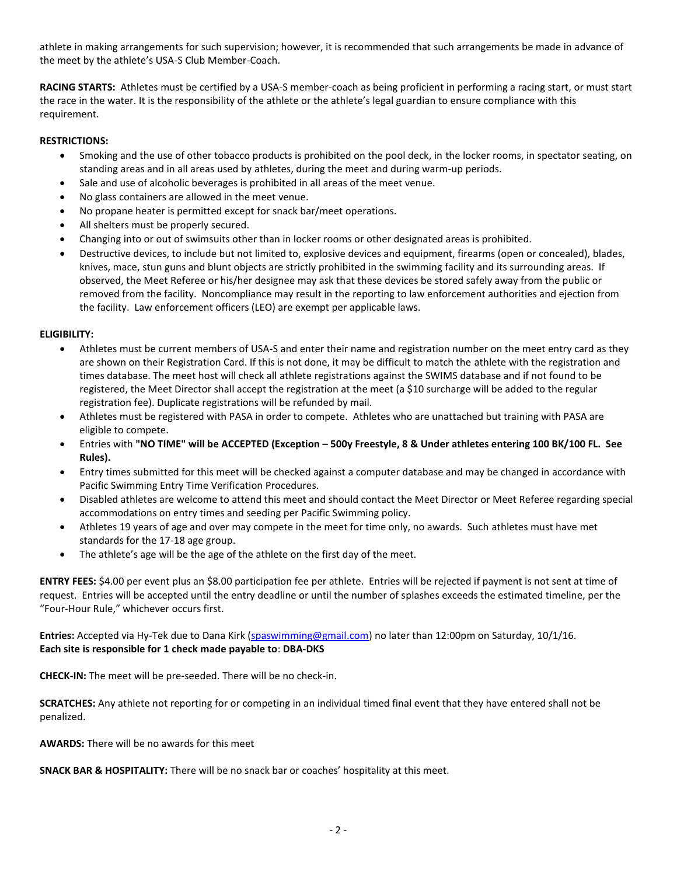athlete in making arrangements for such supervision; however, it is recommended that such arrangements be made in advance of the meet by the athlete's USA-S Club Member-Coach.

**RACING STARTS:** Athletes must be certified by a USA-S member-coach as being proficient in performing a racing start, or must start the race in the water. It is the responsibility of the athlete or the athlete's legal guardian to ensure compliance with this requirement.

# **RESTRICTIONS:**

- Smoking and the use of other tobacco products is prohibited on the pool deck, in the locker rooms, in spectator seating, on standing areas and in all areas used by athletes, during the meet and during warm-up periods.
- Sale and use of alcoholic beverages is prohibited in all areas of the meet venue.
- No glass containers are allowed in the meet venue.
- No propane heater is permitted except for snack bar/meet operations.
- All shelters must be properly secured.
- Changing into or out of swimsuits other than in locker rooms or other designated areas is prohibited.
- Destructive devices, to include but not limited to, explosive devices and equipment, firearms (open or concealed), blades, knives, mace, stun guns and blunt objects are strictly prohibited in the swimming facility and its surrounding areas. If observed, the Meet Referee or his/her designee may ask that these devices be stored safely away from the public or removed from the facility. Noncompliance may result in the reporting to law enforcement authorities and ejection from the facility. Law enforcement officers (LEO) are exempt per applicable laws.

## **ELIGIBILITY:**

- Athletes must be current members of USA-S and enter their name and registration number on the meet entry card as they are shown on their Registration Card. If this is not done, it may be difficult to match the athlete with the registration and times database. The meet host will check all athlete registrations against the SWIMS database and if not found to be registered, the Meet Director shall accept the registration at the meet (a \$10 surcharge will be added to the regular registration fee). Duplicate registrations will be refunded by mail.
- Athletes must be registered with PASA in order to compete. Athletes who are unattached but training with PASA are eligible to compete.
- Entries with **"NO TIME" will be ACCEPTED (Exception – 500y Freestyle, 8 & Under athletes entering 100 BK/100 FL. See Rules).**
- Entry times submitted for this meet will be checked against a computer database and may be changed in accordance with Pacific Swimming Entry Time Verification Procedures.
- Disabled athletes are welcome to attend this meet and should contact the Meet Director or Meet Referee regarding special accommodations on entry times and seeding per Pacific Swimming policy.
- Athletes 19 years of age and over may compete in the meet for time only, no awards. Such athletes must have met standards for the 17-18 age group.
- The athlete's age will be the age of the athlete on the first day of the meet.

**ENTRY FEES:** \$4.00 per event plus an \$8.00 participation fee per athlete. Entries will be rejected if payment is not sent at time of request. Entries will be accepted until the entry deadline or until the number of splashes exceeds the estimated timeline, per the "Four-Hour Rule," whichever occurs first.

**Entries:** Accepted via Hy-Tek due to Dana Kirk [\(spaswimming@gmail.com\)](mailto:spaswimming@gmail.com) no later than 12:00pm on Saturday, 10/1/16. **Each site is responsible for 1 check made payable to**: **DBA-DKS**

**CHECK-IN:** The meet will be pre-seeded. There will be no check-in.

**SCRATCHES:** Any athlete not reporting for or competing in an individual timed final event that they have entered shall not be penalized.

**AWARDS:** There will be no awards for this meet

**SNACK BAR & HOSPITALITY:** There will be no snack bar or coaches' hospitality at this meet.